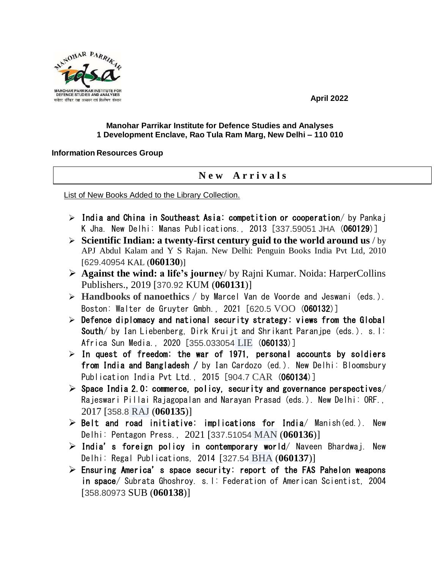

**April 2022**

## **Manohar Parrikar Institute for Defence Studies and Analyses 1 Development Enclave, Rao Tula Ram Marg, New Delhi – 110 010**

## **Information Resources Group**

## **N e w A r r i v a l s**

List of New Books Added to the Library Collection.

- $\triangleright$  India and China in Southeast Asia: competition or cooperation/ by Pankaj K Jha. New Delhi: Manas Publications., 2013 [337.59051 JHA (060129)]
- **Scientific Indian: a twenty-first century guid to the world around us** / by APJ Abdul Kalam and Y S Rajan. New Delhi: Penguin Books India Pvt Ltd, 2010 [629.40954 KAL (**060130**)]
- **Against the wind: a life's journey**/ by Rajni Kumar. Noida: HarperCollins Publishers., 2019 [370.92 KUM (**060131**)]
- **Handbooks of nanoethics** / by Marcel Van de Voorde and Jeswani (eds.). Boston: Walter de Gruyter Gmbh., 2021 [620.5 VOO (060132)]
- $\triangleright$  Defence diplomacy and national security strategy: views from the Global South/ by Ian Liebenberg, Dirk Kruijt and Shrikant Paranjpe (eds.). s.l: Africa Sun Media., 2020 [355.033054 LIE (060133)]
- $\geq$  In quest of freedom: the war of 1971, personal accounts by soldiers from India and Bangladesh / by Ian Cardozo (ed.). New Delhi: Bloomsbury Publication India Pvt Ltd., 2015 [904.7 CAR (060134)]
- $\triangleright$  Space India 2.0: commerce, policy, security and governance perspectives/ Rajeswari Pillai Rajagopalan and Narayan Prasad (eds.). New Delhi: ORF., 2017 [358.8 RAJ (**060135**)]
- $\triangleright$  Belt and road initiative: implications for India/ Manish(ed.). New Delhi: Pentagon Press., 2021 [337.51054 MAN (**060136**)]
- $\triangleright$  India's foreign policy in contemporary world/ Naveen Bhardwaj. New Delhi: Regal Publications, 2014 [327.54 BHA (**060137**)]
- $\triangleright$  Ensuring America's space security: report of the FAS Pahelon weapons in space/ Subrata Ghoshroy. s.l: Federation of American Scientist, 2004 [358.80973 SUB (**060138**)]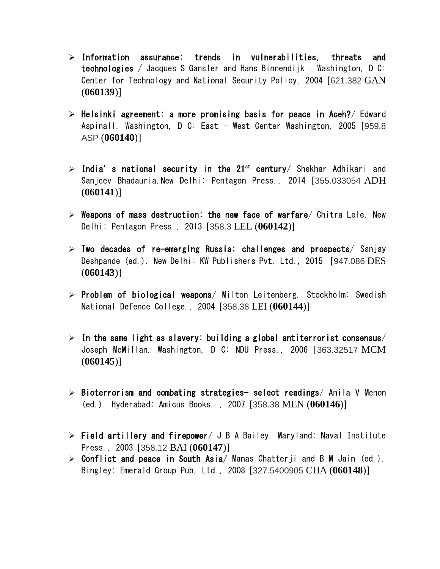- $\triangleright$  Information assurance: trends in vulnerabilities, threats and technologies / Jacques S Gansler and Hans Binnendijk . Washington, D C: Center for Technology and National Security Policy, 2004 [621.382 GAN (**060139**)]
- $\triangleright$  Helsinki agreement: a more promising basis for peace in Aceh?/ Edward Aspinall. Washington, D C: East – West Center Washington, 2005 [959.8 ASP (**060140**)]
- $\triangleright$  India's national security in the 21st century/ Shekhar Adhikari and Sanjeev Bhadauria.New Delhi: Pentagon Press., 2014 [355.033054 ADH (**060141**)]
- $\triangleright$  Weapons of mass destruction: the new face of warfare/ Chitra Lele. New Delhi: Pentagon Press., 2013 [358.3 LEL (**060142**)]
- $\triangleright$  Two decades of re-emerging Russia: challenges and prospects/ Sanjay Deshpande (ed.). New Delhi: KW Publishers Pvt. Ltd., 2015 [947.086 DES (**060143**)]
- $\triangleright$  Problem of biological weapons/ Milton Leitenberg. Stockholm: Swedish National Defence College., 2004 [358.38 LEI (**060144**)]
- $\triangleright$  In the same light as slavery: building a global antiterrorist consensus/ Joseph McMillan. Washington, D C: NDU Press., 2006 [363.32517 MCM (**060145**)]
- $\triangleright$  Bioterrorism and combating strategies- select readings/ Anila V Menon (ed.). Hyderabad: Amicus Books. , 2007 [358.38 MEN (**060146**)]
- $\triangleright$  Field artillery and firepower/ J B A Bailey. Maryland: Naval Institute Press., 2003 [358.12 BAI (**060147**)]
- $\triangleright$  Conflict and peace in South Asia/ Manas Chatterji and B M Jain (ed.). Bingley: Emerald Group Pub. Ltd., 2008 [327.5400905 CHA (**060148**)]